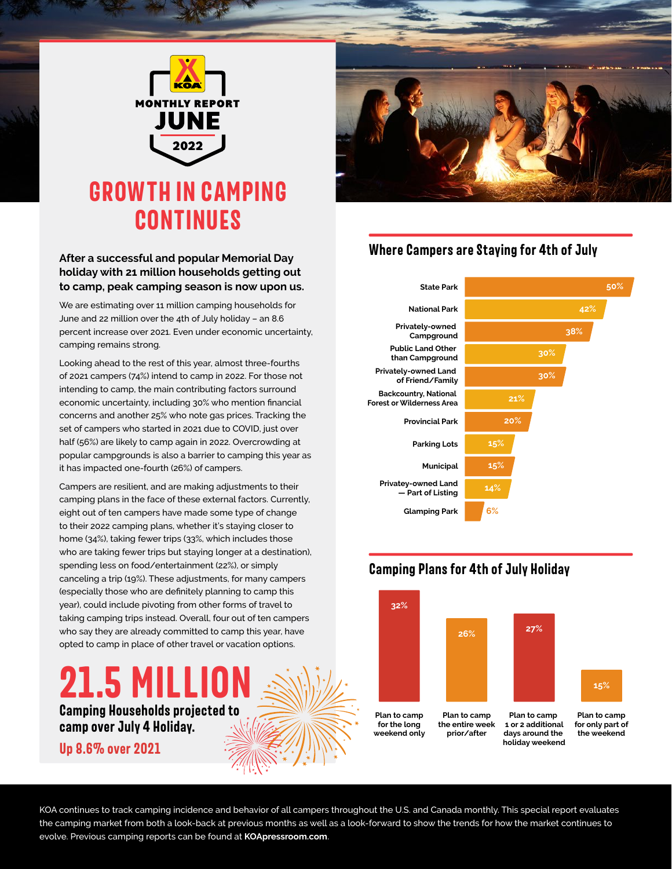

#### **After a successful and popular Memorial Day holiday with 21 million households getting out to camp, peak camping season is now upon us.**

We are estimating over 11 million camping households for June and 22 million over the 4th of July holiday – an 8.6 percent increase over 2021. Even under economic uncertainty, camping remains strong.

Looking ahead to the rest of this year, almost three-fourths of 2021 campers (74%) intend to camp in 2022. For those not intending to camp, the main contributing factors surround economic uncertainty, including 30% who mention financial concerns and another 25% who note gas prices. Tracking the set of campers who started in 2021 due to COVID, just over half (56%) are likely to camp again in 2022. Overcrowding at popular campgrounds is also a barrier to camping this year as it has impacted one-fourth (26%) of campers.

Campers are resilient, and are making adjustments to their camping plans in the face of these external factors. Currently, eight out of ten campers have made some type of change to their 2022 camping plans, whether it's staying closer to home (34%), taking fewer trips (33%, which includes those who are taking fewer trips but staying longer at a destination), spending less on food/entertainment (22%), or simply canceling a trip (19%). These adjustments, for many campers (especially those who are definitely planning to camp this year), could include pivoting from other forms of travel to taking camping trips instead. Overall, four out of ten campers who say they are already committed to camp this year, have opted to camp in place of other travel or vacation options.

## **Camping Households projected to camp over July 4 Holiday. 21.5 MILLI**

**Up 8.6% over 2O21**



### **Where Campers are Staying for 4th of July**



### **Camping Plans for 4th of July Holiday**



KOA continues to track camping incidence and behavior of all campers throughout the U.S. and Canada monthly. This special report evaluates the camping market from both a look-back at previous months as well as a look-forward to show the trends for how the market continues to evolve. Previous camping reports can be found at **KOApressroom.com**.